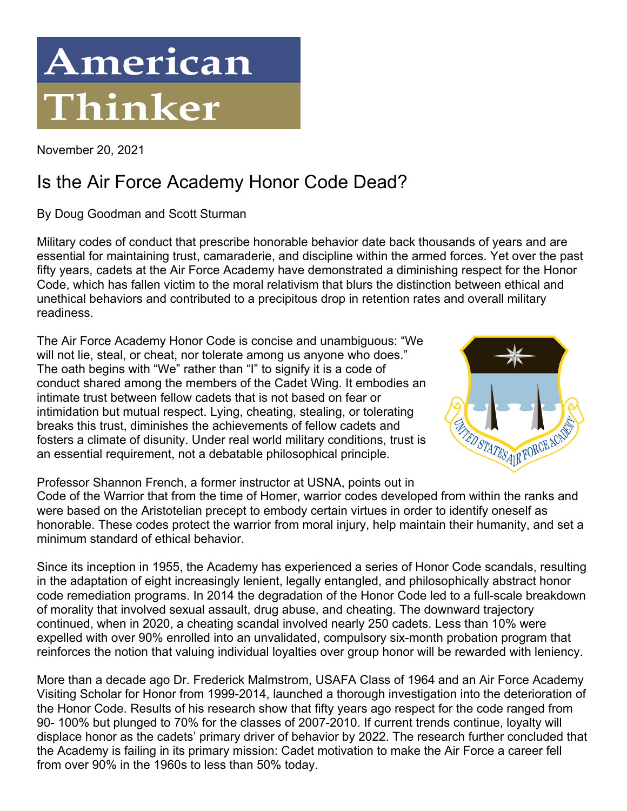## American Thinker

November 20, 2021

## Is the Air Force Academy Honor Code Dead?

By Doug Goodman and Scott Sturman

Military codes of conduct that prescribe honorable behavior date back thousands of years and are essential for maintaining trust, camaraderie, and discipline within the armed forces. Yet over the past fifty years, cadets at the Air Force Academy have demonstrated a diminishing respect for the Honor Code, which has fallen victim to the moral relativism that blurs the distinction between ethical and unethical behaviors and contributed to a precipitous drop in retention rates and overall military readiness.

The Air Force Academy Honor Code is concise and unambiguous: "We will not lie, steal, or cheat, nor tolerate among us anyone who does." The oath begins with "We" rather than "I" to signify it is a code of conduct shared among the members of the Cadet Wing. It embodies an intimate trust between fellow cadets that is not based on fear or intimidation but mutual respect. Lying, cheating, stealing, or tolerating breaks this trust, diminishes the achievements of fellow cadets and fosters a climate of disunity. Under real world military conditions, trust is an essential requirement, not a debatable philosophical principle.



Professor Shannon French, a former instructor at USNA, points out in Code of the Warrior that from the time of Homer, warrior codes developed from within the ranks and were based on the Aristotelian precept to embody certain virtues in order to identify oneself as honorable. These codes protect the warrior from moral injury, help maintain their humanity, and set a minimum standard of ethical behavior.

Since its inception in 1955, the Academy has experienced a series of Honor Code scandals, resulting in the adaptation of eight increasingly lenient, legally entangled, and philosophically abstract honor code remediation programs. In 2014 the degradation of the Honor Code led to a full-scale breakdown of morality that involved sexual assault, drug abuse, and cheating. The downward trajectory continued, when in 2020, a cheating scandal involved nearly 250 cadets. Less than 10% were expelled with over 90% enrolled into an unvalidated, compulsory six-month probation program that reinforces the notion that valuing individual loyalties over group honor will be rewarded with leniency.

More than a decade ago Dr. Frederick Malmstrom, USAFA Class of 1964 and an Air Force Academy Visiting Scholar for Honor from 1999-2014, launched a thorough investigation into the deterioration of the Honor Code. Results of his research show that fifty years ago respect for the code ranged from 90- 100% but plunged to 70% for the classes of 2007-2010. If current trends continue, loyalty will displace honor as the cadets' primary driver of behavior by 2022. The research further concluded that the Academy is failing in its primary mission: Cadet motivation to make the Air Force a career fell from over 90% in the 1960s to less than 50% today.